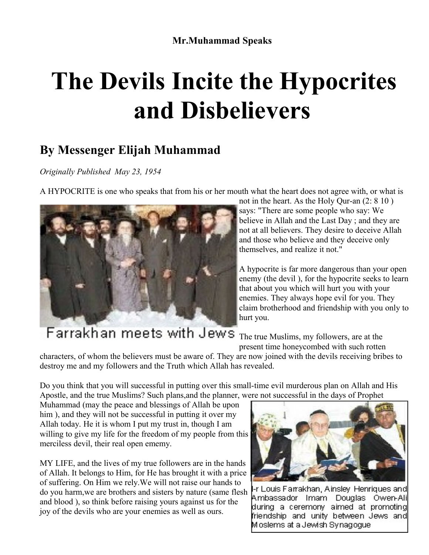## **The Devils Incite the Hypocrites and Disbelievers**

## **By Messenger Elijah Muhammad**

*Originally Published May 23, 1954*

A HYPOCRITE is one who speaks that from his or her mouth what the heart does not agree with, or what is



not in the heart. As the Holy Qur-an (2: 8 10 ) says: "There are some people who say: We believe in Allah and the Last Day ; and they are not at all believers. They desire to deceive Allah and those who believe and they deceive only themselves, and realize it not."

A hypocrite is far more dangerous than your open enemy (the devil ), for the hypocrite seeks to learn that about you which will hurt you with your enemies. They always hope evil for you. They claim brotherhood and friendship with you only to hurt you.

Farrakhan meets with Jews The true Muslims, my followers, are at the present time honeycombed with such rotten

characters, of whom the believers must be aware of. They are now joined with the devils receiving bribes to destroy me and my followers and the Truth which Allah has revealed.

Do you think that you will successful in putting over this small-time evil murderous plan on Allah and His Apostle, and the true Muslims? Such plans,and the planner, were not successful in the days of Prophet

Muhammad (may the peace and blessings of Allah be upon him ), and they will not be successful in putting it over my Allah today. He it is whom I put my trust in, though I am willing to give my life for the freedom of my people from this merciless devil, their real open ememy.

MY LIFE, and the lives of my true followers are in the hands of Allah. It belongs to Him, for He has brought it with a price of suffering. On Him we rely.We will not raise our hands to do you harm,we are brothers and sisters by nature (same flesh and blood ), so think before raising yours against us for the joy of the devils who are your enemies as well as ours.



r Louis Farrakhan, Ainsley Henriques and Ambassador Imam Douglas Owen-Ali during a ceremony aimed at promoting friendship and unity between Jews and Moslems at a Jewish Synadodue